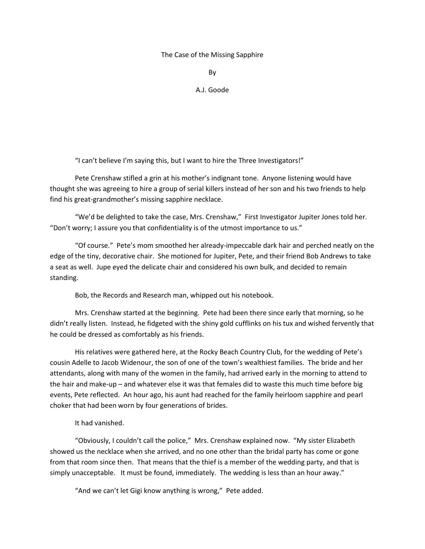## The Case of the Missing Sapphire

By

## A.J. Goode

"I can't believe I'm saying this, but I want to hire the Three Investigators!"

Pete Crenshaw stifled a grin at his mother's indignant tone. Anyone listening would have thought she was agreeing to hire a group of serial killers instead of her son and his two friends to help find his great-grandmother's missing sapphire necklace.

"We'd be delighted to take the case, Mrs. Crenshaw," First Investigator Jupiter Jones told her. "Don't worry; I assure you that confidentiality is of the utmost importance to us."

"Of course." Pete's mom smoothed her already-impeccable dark hair and perched neatly on the edge of the tiny, decorative chair. She motioned for Jupiter, Pete, and their friend Bob Andrews to take a seat as well. Jupe eyed the delicate chair and considered his own bulk, and decided to remain standing.

Bob, the Records and Research man, whipped out his notebook.

Mrs. Crenshaw started at the beginning. Pete had been there since early that morning, so he didn't really listen. Instead, he fidgeted with the shiny gold cufflinks on his tux and wished fervently that he could be dressed as comfortably as his friends.

His relatives were gathered here, at the Rocky Beach Country Club, for the wedding of Pete's cousin Adelle to Jacob Widenour, the son of one of the town's wealthiest families. The bride and her attendants, along with many of the women in the family, had arrived early in the morning to attend to the hair and make-up – and whatever else it was that females did to waste this much time before big events, Pete reflected. An hour ago, his aunt had reached for the family heirloom sapphire and pearl choker that had been worn by four generations of brides.

## It had vanished.

"Obviously, I couldn't call the police," Mrs. Crenshaw explained now. "My sister Elizabeth showed us the necklace when she arrived, and no one other than the bridal party has come or gone from that room since then. That means that the thief is a member of the wedding party, and that is simply unacceptable. It must be found, immediately. The wedding is less than an hour away."

"And we can't let Gigi know anything is wrong," Pete added.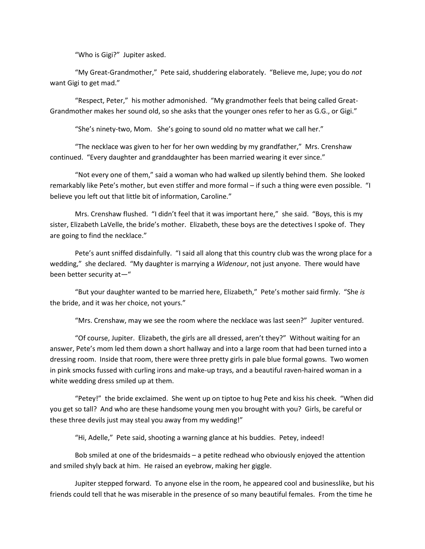"Who is Gigi?" Jupiter asked.

"My Great-Grandmother," Pete said, shuddering elaborately. "Believe me, Jupe; you do *not* want Gigi to get mad."

"Respect, Peter," his mother admonished. "My grandmother feels that being called Great-Grandmother makes her sound old, so she asks that the younger ones refer to her as G.G., or Gigi."

"She's ninety-two, Mom. She's going to sound old no matter what we call her."

"The necklace was given to her for her own wedding by my grandfather," Mrs. Crenshaw continued. "Every daughter and granddaughter has been married wearing it ever since."

"Not every one of them," said a woman who had walked up silently behind them. She looked remarkably like Pete's mother, but even stiffer and more formal – if such a thing were even possible. "I believe you left out that little bit of information, Caroline."

Mrs. Crenshaw flushed. "I didn't feel that it was important here," she said. "Boys, this is my sister, Elizabeth LaVelle, the bride's mother. Elizabeth, these boys are the detectives I spoke of. They are going to find the necklace."

Pete's aunt sniffed disdainfully. "I said all along that this country club was the wrong place for a wedding," she declared. "My daughter is marrying a *Widenour*, not just anyone. There would have been better security at—"

"But your daughter wanted to be married here, Elizabeth," Pete's mother said firmly. "She *is* the bride, and it was her choice, not yours."

"Mrs. Crenshaw, may we see the room where the necklace was last seen?" Jupiter ventured.

"Of course, Jupiter. Elizabeth, the girls are all dressed, aren't they?" Without waiting for an answer, Pete's mom led them down a short hallway and into a large room that had been turned into a dressing room. Inside that room, there were three pretty girls in pale blue formal gowns. Two women in pink smocks fussed with curling irons and make-up trays, and a beautiful raven-haired woman in a white wedding dress smiled up at them.

"Petey!" the bride exclaimed. She went up on tiptoe to hug Pete and kiss his cheek. "When did you get so tall? And who are these handsome young men you brought with you? Girls, be careful or these three devils just may steal you away from my wedding!"

"Hi, Adelle," Pete said, shooting a warning glance at his buddies. Petey, indeed!

Bob smiled at one of the bridesmaids – a petite redhead who obviously enjoyed the attention and smiled shyly back at him. He raised an eyebrow, making her giggle.

Jupiter stepped forward. To anyone else in the room, he appeared cool and businesslike, but his friends could tell that he was miserable in the presence of so many beautiful females. From the time he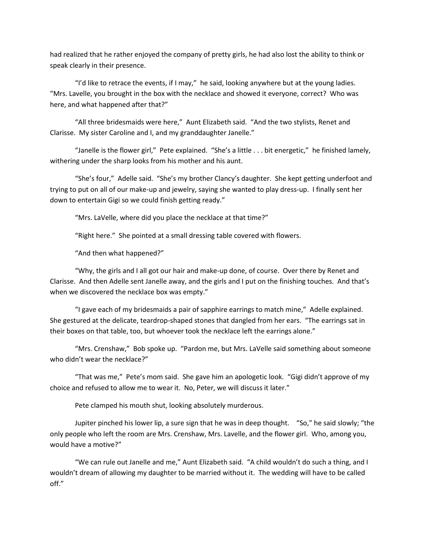had realized that he rather enjoyed the company of pretty girls, he had also lost the ability to think or speak clearly in their presence.

"I'd like to retrace the events, if I may," he said, looking anywhere but at the young ladies. "Mrs. Lavelle, you brought in the box with the necklace and showed it everyone, correct? Who was here, and what happened after that?"

"All three bridesmaids were here," Aunt Elizabeth said. "And the two stylists, Renet and Clarisse. My sister Caroline and I, and my granddaughter Janelle."

"Janelle is the flower girl," Pete explained. "She's a little . . . bit energetic," he finished lamely, withering under the sharp looks from his mother and his aunt.

"She's four," Adelle said. "She's my brother Clancy's daughter. She kept getting underfoot and trying to put on all of our make-up and jewelry, saying she wanted to play dress-up. I finally sent her down to entertain Gigi so we could finish getting ready."

"Mrs. LaVelle, where did you place the necklace at that time?"

"Right here." She pointed at a small dressing table covered with flowers.

"And then what happened?"

"Why, the girls and I all got our hair and make-up done, of course. Over there by Renet and Clarisse. And then Adelle sent Janelle away, and the girls and I put on the finishing touches. And that's when we discovered the necklace box was empty."

"I gave each of my bridesmaids a pair of sapphire earrings to match mine," Adelle explained. She gestured at the delicate, teardrop-shaped stones that dangled from her ears. "The earrings sat in their boxes on that table, too, but whoever took the necklace left the earrings alone."

"Mrs. Crenshaw," Bob spoke up. "Pardon me, but Mrs. LaVelle said something about someone who didn't wear the necklace?"

"That was me," Pete's mom said. She gave him an apologetic look. "Gigi didn't approve of my choice and refused to allow me to wear it. No, Peter, we will discuss it later."

Pete clamped his mouth shut, looking absolutely murderous.

Jupiter pinched his lower lip, a sure sign that he was in deep thought. "So," he said slowly; "the only people who left the room are Mrs. Crenshaw, Mrs. Lavelle, and the flower girl. Who, among you, would have a motive?"

"We can rule out Janelle and me," Aunt Elizabeth said. "A child wouldn't do such a thing, and I wouldn't dream of allowing my daughter to be married without it. The wedding will have to be called off."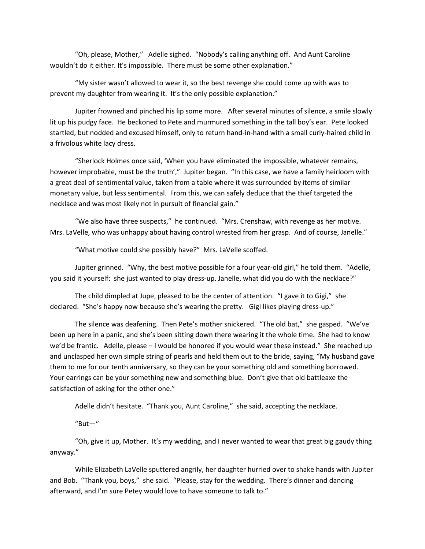"Oh, please, Mother," Adelle sighed. "Nobody's calling anything off. And Aunt Caroline wouldn't do it either. It's impossible. There must be some other explanation."

"My sister wasn't allowed to wear it, so the best revenge she could come up with was to prevent my daughter from wearing it. It's the only possible explanation."

Jupiter frowned and pinched his lip some more. After several minutes of silence, a smile slowly lit up his pudgy face. He beckoned to Pete and murmured something in the tall boy's ear. Pete looked startled, but nodded and excused himself, only to return hand-in-hand with a small curly-haired child in a frivolous white lacy dress.

"Sherlock Holmes once said, 'When you have eliminated the impossible, whatever remains, however improbable, must be the truth'," Jupiter began. "In this case, we have a family heirloom with a great deal of sentimental value, taken from a table where it was surrounded by items of similar monetary value, but less sentimental. From this, we can safely deduce that the thief targeted the necklace and was most likely not in pursuit of financial gain."

"We also have three suspects," he continued. "Mrs. Crenshaw, with revenge as her motive. Mrs. LaVelle, who was unhappy about having control wrested from her grasp. And of course, Janelle."

"What motive could she possibly have?" Mrs. LaVelle scoffed.

Jupiter grinned. "Why, the best motive possible for a four year-old girl," he told them. "Adelle, you said it yourself: she just wanted to play dress-up. Janelle, what did you do with the necklace?"

The child dimpled at Jupe, pleased to be the center of attention. "I gave it to Gigi," she declared. "She's happy now because she's wearing the pretty. Gigi likes playing dress-up."

The silence was deafening. Then Pete's mother snickered. "The old bat," she gasped. "We've been up here in a panic, and she's been sitting down there wearing it the whole time. She had to know we'd be frantic. Adelle, please – I would be honored if you would wear these instead." She reached up and unclasped her own simple string of pearls and held them out to the bride, saying, "My husband gave them to me for our tenth anniversary, so they can be your something old and something borrowed. Your earrings can be your something new and something blue. Don't give that old battleaxe the satisfaction of asking for the other one."

Adelle didn't hesitate. "Thank you, Aunt Caroline," she said, accepting the necklace.

 $"But -"$ 

"Oh, give it up, Mother. It's my wedding, and I never wanted to wear that great big gaudy thing anyway."

While Elizabeth LaVelle sputtered angrily, her daughter hurried over to shake hands with Jupiter and Bob. "Thank you, boys," she said. "Please, stay for the wedding. There's dinner and dancing afterward, and I'm sure Petey would love to have someone to talk to."